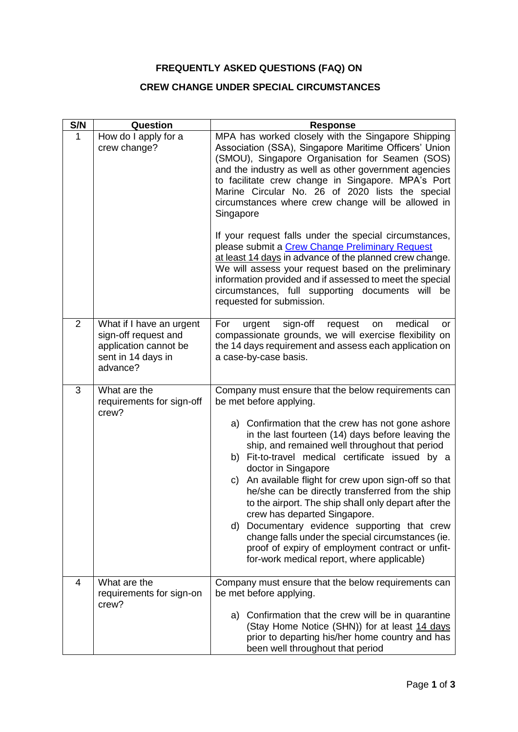## **FREQUENTLY ASKED QUESTIONS (FAQ) ON**

## **CREW CHANGE UNDER SPECIAL CIRCUMSTANCES**

| S/N            | Question                                                                                                    | <b>Response</b>                                                                                                                                                                                                                                                                                                                                                                                                                                                                                                                                                                                                                                                                                                                                                                   |
|----------------|-------------------------------------------------------------------------------------------------------------|-----------------------------------------------------------------------------------------------------------------------------------------------------------------------------------------------------------------------------------------------------------------------------------------------------------------------------------------------------------------------------------------------------------------------------------------------------------------------------------------------------------------------------------------------------------------------------------------------------------------------------------------------------------------------------------------------------------------------------------------------------------------------------------|
| $\mathbf{1}$   | How do I apply for a<br>crew change?                                                                        | MPA has worked closely with the Singapore Shipping<br>Association (SSA), Singapore Maritime Officers' Union<br>(SMOU), Singapore Organisation for Seamen (SOS)<br>and the industry as well as other government agencies<br>to facilitate crew change in Singapore. MPA's Port<br>Marine Circular No. 26 of 2020 lists the special<br>circumstances where crew change will be allowed in<br>Singapore<br>If your request falls under the special circumstances,<br>please submit a Crew Change Preliminary Request<br>at least 14 days in advance of the planned crew change.<br>We will assess your request based on the preliminary<br>information provided and if assessed to meet the special<br>circumstances, full supporting documents will be<br>requested for submission. |
| $\overline{2}$ | What if I have an urgent<br>sign-off request and<br>application cannot be<br>sent in 14 days in<br>advance? | sign-off<br>request<br>medical<br>For<br>urgent<br>on<br>or<br>compassionate grounds, we will exercise flexibility on<br>the 14 days requirement and assess each application on<br>a case-by-case basis.                                                                                                                                                                                                                                                                                                                                                                                                                                                                                                                                                                          |
| 3              | What are the<br>requirements for sign-off<br>crew?                                                          | Company must ensure that the below requirements can<br>be met before applying.<br>a) Confirmation that the crew has not gone ashore<br>in the last fourteen (14) days before leaving the<br>ship, and remained well throughout that period<br>b) Fit-to-travel medical certificate issued by a<br>doctor in Singapore<br>An available flight for crew upon sign-off so that<br>C)<br>he/she can be directly transferred from the ship<br>to the airport. The ship shall only depart after the<br>crew has departed Singapore.<br>d) Documentary evidence supporting that crew<br>change falls under the special circumstances (ie.<br>proof of expiry of employment contract or unfit-<br>for-work medical report, where applicable)                                              |
| 4              | What are the<br>requirements for sign-on<br>crew?                                                           | Company must ensure that the below requirements can<br>be met before applying.<br>a) Confirmation that the crew will be in quarantine<br>(Stay Home Notice (SHN)) for at least 14 days<br>prior to departing his/her home country and has<br>been well throughout that period                                                                                                                                                                                                                                                                                                                                                                                                                                                                                                     |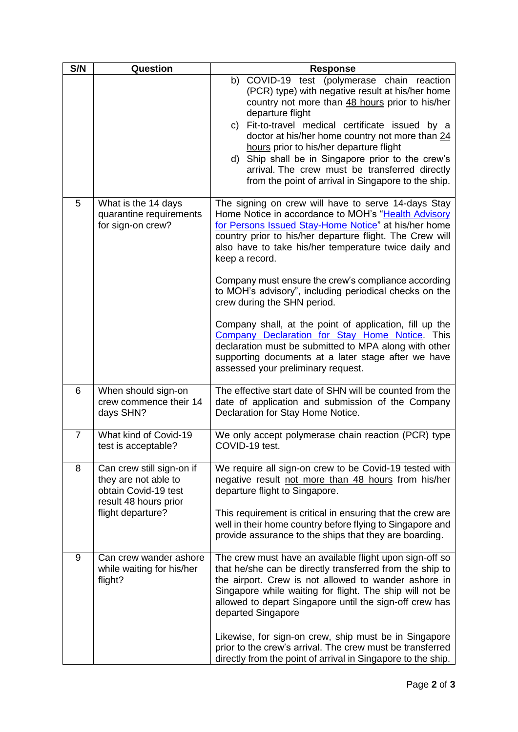| S/N            | Question                                                                                                                | <b>Response</b>                                                                                                                                                                                                                                                                                                                                                                                                                                                                                                                                                                                                                                                                                                              |
|----------------|-------------------------------------------------------------------------------------------------------------------------|------------------------------------------------------------------------------------------------------------------------------------------------------------------------------------------------------------------------------------------------------------------------------------------------------------------------------------------------------------------------------------------------------------------------------------------------------------------------------------------------------------------------------------------------------------------------------------------------------------------------------------------------------------------------------------------------------------------------------|
|                |                                                                                                                         | b) COVID-19 test (polymerase chain reaction<br>(PCR) type) with negative result at his/her home<br>country not more than 48 hours prior to his/her<br>departure flight<br>c) Fit-to-travel medical certificate issued by a<br>doctor at his/her home country not more than 24<br>hours prior to his/her departure flight<br>d) Ship shall be in Singapore prior to the crew's<br>arrival. The crew must be transferred directly<br>from the point of arrival in Singapore to the ship.                                                                                                                                                                                                                                       |
| 5              | What is the 14 days<br>quarantine requirements<br>for sign-on crew?                                                     | The signing on crew will have to serve 14-days Stay<br>Home Notice in accordance to MOH's "Health Advisory<br>for Persons Issued Stay-Home Notice" at his/her home<br>country prior to his/her departure flight. The Crew will<br>also have to take his/her temperature twice daily and<br>keep a record.<br>Company must ensure the crew's compliance according<br>to MOH's advisory", including periodical checks on the<br>crew during the SHN period.<br>Company shall, at the point of application, fill up the<br>Company Declaration for Stay Home Notice. This<br>declaration must be submitted to MPA along with other<br>supporting documents at a later stage after we have<br>assessed your preliminary request. |
| 6              | When should sign-on<br>crew commence their 14<br>days SHN?                                                              | The effective start date of SHN will be counted from the<br>date of application and submission of the Company<br>Declaration for Stay Home Notice.                                                                                                                                                                                                                                                                                                                                                                                                                                                                                                                                                                           |
| $\overline{7}$ | What kind of Covid-19<br>test is acceptable?                                                                            | We only accept polymerase chain reaction (PCR) type<br>COVID-19 test.                                                                                                                                                                                                                                                                                                                                                                                                                                                                                                                                                                                                                                                        |
| 8              | Can crew still sign-on if<br>they are not able to<br>obtain Covid-19 test<br>result 48 hours prior<br>flight departure? | We require all sign-on crew to be Covid-19 tested with<br>negative result not more than 48 hours from his/her<br>departure flight to Singapore.<br>This requirement is critical in ensuring that the crew are<br>well in their home country before flying to Singapore and<br>provide assurance to the ships that they are boarding.                                                                                                                                                                                                                                                                                                                                                                                         |
| 9              | Can crew wander ashore<br>while waiting for his/her<br>flight?                                                          | The crew must have an available flight upon sign-off so<br>that he/she can be directly transferred from the ship to<br>the airport. Crew is not allowed to wander ashore in<br>Singapore while waiting for flight. The ship will not be<br>allowed to depart Singapore until the sign-off crew has<br>departed Singapore<br>Likewise, for sign-on crew, ship must be in Singapore<br>prior to the crew's arrival. The crew must be transferred<br>directly from the point of arrival in Singapore to the ship.                                                                                                                                                                                                               |